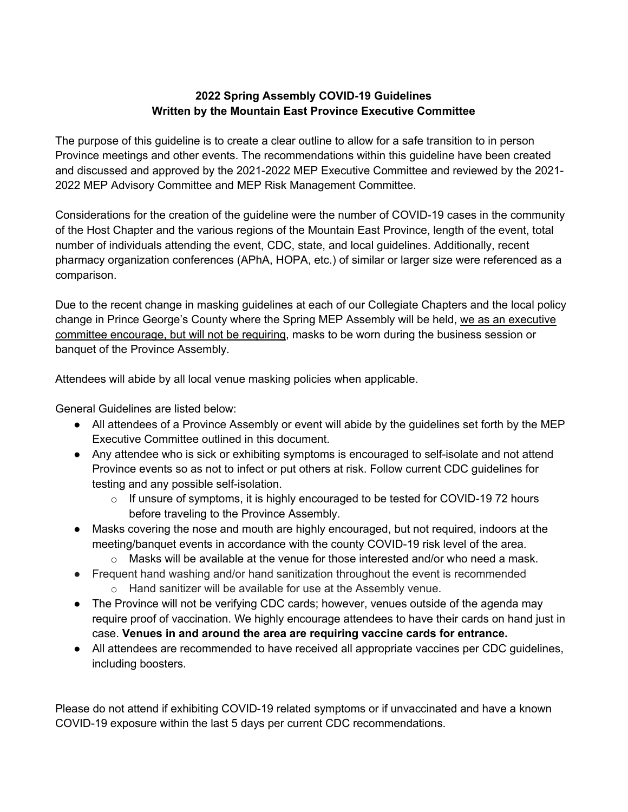## **2022 Spring Assembly COVID-19 Guidelines Written by the Mountain East Province Executive Committee**

The purpose of this guideline is to create a clear outline to allow for a safe transition to in person Province meetings and other events. The recommendations within this guideline have been created and discussed and approved by the 2021-2022 MEP Executive Committee and reviewed by the 2021- 2022 MEP Advisory Committee and MEP Risk Management Committee.

Considerations for the creation of the guideline were the number of COVID-19 cases in the community of the Host Chapter and the various regions of the Mountain East Province, length of the event, total number of individuals attending the event, CDC, state, and local guidelines. Additionally, recent pharmacy organization conferences (APhA, HOPA, etc.) of similar or larger size were referenced as a comparison.

Due to the recent change in masking guidelines at each of our Collegiate Chapters and the local policy change in Prince George's County where the Spring MEP Assembly will be held, we as an executive committee encourage, but will not be requiring, masks to be worn during the business session or banquet of the Province Assembly.

Attendees will abide by all local venue masking policies when applicable.

General Guidelines are listed below:

- All attendees of a Province Assembly or event will abide by the guidelines set forth by the MEP Executive Committee outlined in this document.
- Any attendee who is sick or exhibiting symptoms is encouraged to self-isolate and not attend Province events so as not to infect or put others at risk. Follow current CDC guidelines for testing and any possible self-isolation.
	- $\circ$  If unsure of symptoms, it is highly encouraged to be tested for COVID-19 72 hours before traveling to the Province Assembly.
- Masks covering the nose and mouth are highly encouraged, but not required, indoors at the meeting/banquet events in accordance with the county COVID-19 risk level of the area.
	- $\circ$  Masks will be available at the venue for those interested and/or who need a mask.
- Frequent hand washing and/or hand sanitization throughout the event is recommended o Hand sanitizer will be available for use at the Assembly venue.
- The Province will not be verifying CDC cards; however, venues outside of the agenda may require proof of vaccination. We highly encourage attendees to have their cards on hand just in case. **Venues in and around the area are requiring vaccine cards for entrance.**
- All attendees are recommended to have received all appropriate vaccines per CDC guidelines, including boosters.

Please do not attend if exhibiting COVID-19 related symptoms or if unvaccinated and have a known COVID-19 exposure within the last 5 days per current CDC recommendations.